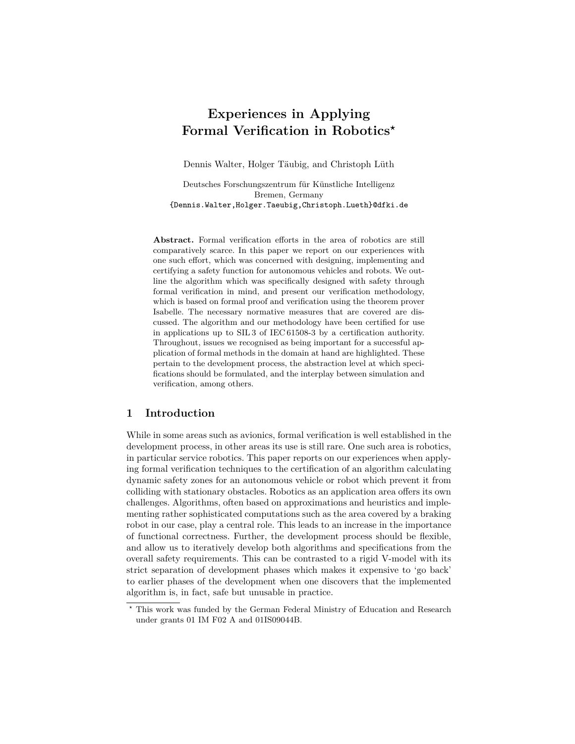# **Experiences in Applying Formal Verification in Robotics***?*

Dennis Walter, Holger Täubig, and Christoph Lüth

Deutsches Forschungszentrum für Künstliche Intelligenz Bremen, Germany {Dennis.Walter,Holger.Taeubig,Christoph.Lueth}@dfki.de

**Abstract.** Formal verification efforts in the area of robotics are still comparatively scarce. In this paper we report on our experiences with one such effort, which was concerned with designing, implementing and certifying a safety function for autonomous vehicles and robots. We outline the algorithm which was specifically designed with safety through formal verification in mind, and present our verification methodology, which is based on formal proof and verification using the theorem prover Isabelle. The necessary normative measures that are covered are discussed. The algorithm and our methodology have been certified for use in applications up to SIL 3 of IEC 61508-3 by a certification authority. Throughout, issues we recognised as being important for a successful application of formal methods in the domain at hand are highlighted. These pertain to the development process, the abstraction level at which specifications should be formulated, and the interplay between simulation and verification, among others.

# **1 Introduction**

While in some areas such as avionics, formal verification is well established in the development process, in other areas its use is still rare. One such area is robotics, in particular service robotics. This paper reports on our experiences when applying formal verification techniques to the certification of an algorithm calculating dynamic safety zones for an autonomous vehicle or robot which prevent it from colliding with stationary obstacles. Robotics as an application area offers its own challenges. Algorithms, often based on approximations and heuristics and implementing rather sophisticated computations such as the area covered by a braking robot in our case, play a central role. This leads to an increase in the importance of functional correctness. Further, the development process should be flexible, and allow us to iteratively develop both algorithms and specifications from the overall safety requirements. This can be contrasted to a rigid V-model with its strict separation of development phases which makes it expensive to 'go back' to earlier phases of the development when one discovers that the implemented algorithm is, in fact, safe but unusable in practice.

*<sup>?</sup>* This work was funded by the German Federal Ministry of Education and Research under grants 01 IM F02 A and 01IS09044B.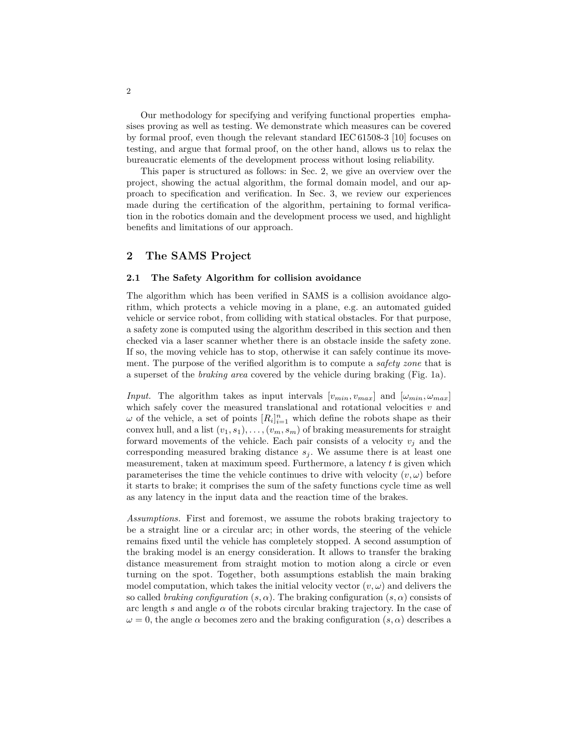Our methodology for specifying and verifying functional properties emphasises proving as well as testing. We demonstrate which measures can be covered by formal proof, even though the relevant standard IEC 61508-3 [10] focuses on testing, and argue that formal proof, on the other hand, allows us to relax the bureaucratic elements of the development process without losing reliability.

This paper is structured as follows: in Sec. 2, we give an overview over the project, showing the actual algorithm, the formal domain model, and our approach to specification and verification. In Sec. 3, we review our experiences made during the certification of the algorithm, pertaining to formal verification in the robotics domain and the development process we used, and highlight benefits and limitations of our approach.

# **2 The SAMS Project**

#### **2.1 The Safety Algorithm for collision avoidance**

The algorithm which has been verified in SAMS is a collision avoidance algorithm, which protects a vehicle moving in a plane, e.g. an automated guided vehicle or service robot, from colliding with statical obstacles. For that purpose, a safety zone is computed using the algorithm described in this section and then checked via a laser scanner whether there is an obstacle inside the safety zone. If so, the moving vehicle has to stop, otherwise it can safely continue its movement. The purpose of the verified algorithm is to compute a *safety zone* that is a superset of the *braking area* covered by the vehicle during braking (Fig. 1a).

*Input.* The algorithm takes as input intervals  $[v_{min}, v_{max}]$  and  $[\omega_{min}, \omega_{max}]$ which safely cover the measured translational and rotational velocities *v* and  $\omega$  of the vehicle, a set of points  $[R_i]_{i=1}^n$  which define the robots shape as their convex hull, and a list  $(v_1, s_1), \ldots, (v_m, s_m)$  of braking measurements for straight forward movements of the vehicle. Each pair consists of a velocity  $v_j$  and the corresponding measured braking distance  $s_j$ . We assume there is at least one measurement, taken at maximum speed. Furthermore, a latency *t* is given which parameterises the time the vehicle continues to drive with velocity  $(v, \omega)$  before it starts to brake; it comprises the sum of the safety functions cycle time as well as any latency in the input data and the reaction time of the brakes.

*Assumptions.* First and foremost, we assume the robots braking trajectory to be a straight line or a circular arc; in other words, the steering of the vehicle remains fixed until the vehicle has completely stopped. A second assumption of the braking model is an energy consideration. It allows to transfer the braking distance measurement from straight motion to motion along a circle or even turning on the spot. Together, both assumptions establish the main braking model computation, which takes the initial velocity vector  $(v, \omega)$  and delivers the so called *braking configuration* (*s, α*). The braking configuration (*s, α*) consists of arc length  $s$  and angle  $\alpha$  of the robots circular braking trajectory. In the case of  $\omega = 0$ , the angle  $\alpha$  becomes zero and the braking configuration  $(s, \alpha)$  describes a

2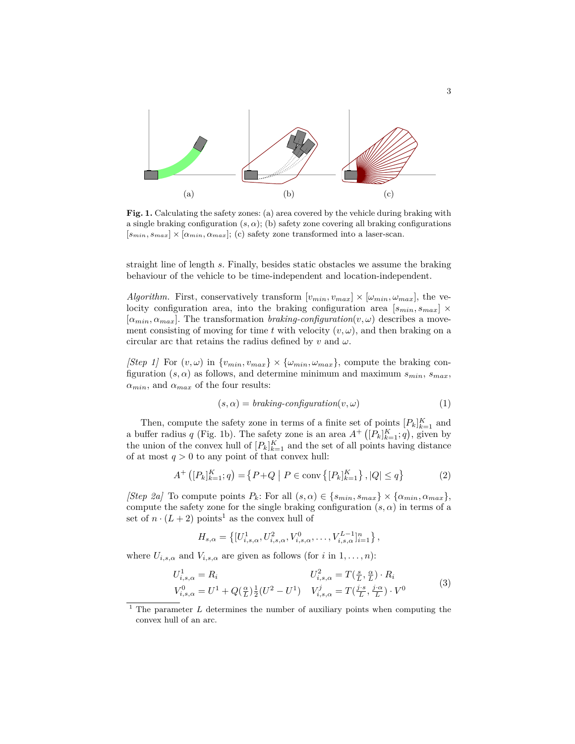

**Fig. 1.** Calculating the safety zones: (a) area covered by the vehicle during braking with a single braking configuration  $(s, \alpha)$ ; (b) safety zone covering all braking configurations  $[s_{min}, s_{max}] \times [\alpha_{min}, \alpha_{max}]$ ; (c) safety zone transformed into a laser-scan.

straight line of length *s*. Finally, besides static obstacles we assume the braking behaviour of the vehicle to be time-independent and location-independent.

*Algorithm.* First, conservatively transform  $[v_{min}, v_{max}] \times [\omega_{min}, \omega_{max}]$ , the velocity configuration area, into the braking configuration area  $[s_{min}, s_{max}] \times$  $[\alpha_{min}, \alpha_{max}]$ . The transformation *braking-configuration*(*v, ω*) describes a movement consisting of moving for time *t* with velocity  $(v, \omega)$ , and then braking on a circular arc that retains the radius defined by  $v$  and  $\omega$ .

*[Step 1]* For  $(v, \omega)$  in  $\{v_{min}, v_{max}\} \times \{\omega_{min}, \omega_{max}\}$ , compute the braking configuration  $(s, \alpha)$  as follows, and determine minimum and maximum  $s_{min}$ ,  $s_{max}$ ,  $\alpha_{min}$ , and  $\alpha_{max}$  of the four results:

$$
(s, \alpha) = \text{braking-configuration}(v, \omega) \tag{1}
$$

Then, compute the safety zone in terms of a finite set of points  $[P_k]_{k=1}^K$  and a buffer radius *q* (Fig. 1b). The safety zone is an area  $A^+$  ( $[P_k]_{k=1}^K$ ; *q*), given by the union of the convex hull of  $[P_k]_{k=1}^K$  and the set of all points having distance of at most  $q > 0$  to any point of that convex hull:

$$
A^{+}\left([P_{k}]_{k=1}^{K};q\right) = \left\{P+Q \mid P \in \text{conv}\left\{[P_{k}]_{k=1}^{K}\right\}, |Q| \leq q\right\} \tag{2}
$$

*[Step 2a]* To compute points  $P_k$ : For all  $(s, \alpha) \in \{s_{min}, s_{max}\} \times \{\alpha_{min}, \alpha_{max}\},$ compute the safety zone for the single braking configuration  $(s, \alpha)$  in terms of a set of  $n \cdot (L+2)$  points<sup>1</sup> as the convex hull of

$$
H_{s,\alpha} = \left\{ [U_{i,s,\alpha}^1, U_{i,s,\alpha}^2, V_{i,s,\alpha}^0, \dots, V_{i,s,\alpha}^{L-1}]_{i=1}^n \right\},\,
$$

where  $U_{i,s,\alpha}$  and  $V_{i,s,\alpha}$  are given as follows (for *i* in  $1,\ldots,n$ ):

$$
U_{i,s,\alpha}^1 = R_i \t U_{i,s,\alpha}^2 = T(\frac{s}{L}, \frac{\alpha}{L}) \cdot R_i V_{i,s,\alpha}^0 = U^1 + Q(\frac{\alpha}{L})\frac{1}{2}(U^2 - U^1) \t V_{i,s,\alpha}^j = T(\frac{j \cdot s}{L}, \frac{j \cdot \alpha}{L}) \cdot V^0
$$
(3)

<sup>&</sup>lt;sup>1</sup> The parameter *L* determines the number of auxiliary points when computing the convex hull of an arc.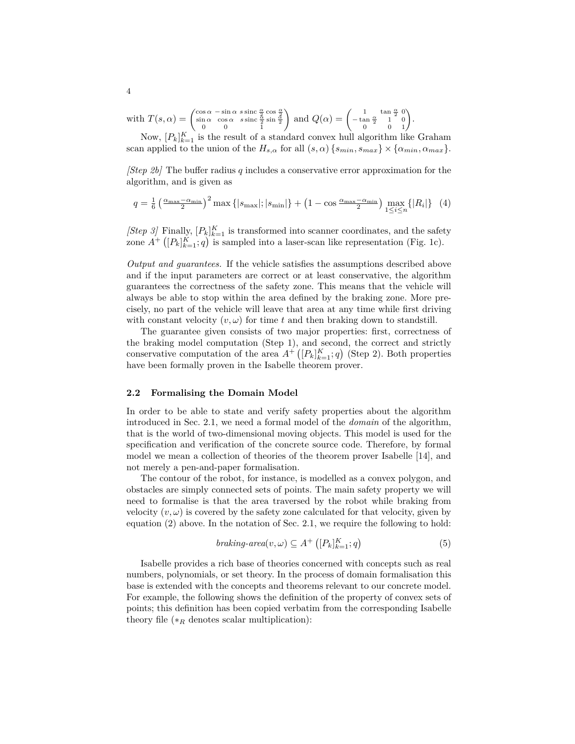with 
$$
T(s, \alpha) = \begin{pmatrix} \cos \alpha & -\sin \alpha & \sin \alpha \frac{\alpha}{2} & \cos \frac{\alpha}{2} \\ \sin \alpha & \cos \alpha & \sin \alpha \frac{\alpha}{2} & \sin \frac{\alpha}{2} \\ 0 & 0 & 1 \end{pmatrix}
$$
 and  $Q(\alpha) = \begin{pmatrix} 1 & \tan \frac{\alpha}{2} & 0 \\ -\tan \frac{\alpha}{2} & 1 & 0 \\ 0 & 0 & 1 \end{pmatrix}$ .

Now,  $[P_k]_{k=1}^K$  is the result of a standard convex hull algorithm like Graham scan applied to the union of the  $H_{s,\alpha}$  for all  $(s,\alpha)$  { $s_{min}, s_{max}$ } × { $\alpha_{min}, \alpha_{max}$ }.

*[Step 2b]* The buffer radius *q* includes a conservative error approximation for the algorithm, and is given as

$$
q = \frac{1}{6} \left( \frac{\alpha_{\max} - \alpha_{\min}}{2} \right)^2 \max \left\{ |s_{\max}|; |s_{\min}| \right\} + \left( 1 - \cos \frac{\alpha_{\max} - \alpha_{\min}}{2} \right) \max_{1 \le i \le n} \left\{ |R_i| \right\} \tag{4}
$$

*[Step 3]* Finally,  $[P_k]_{k=1}^K$  is transformed into scanner coordinates, and the safety zone  $A^+$  ( $[P_k]_{k=1}^K$ ; *q*) is sampled into a laser-scan like representation (Fig. 1c).

*Output and guarantees.* If the vehicle satisfies the assumptions described above and if the input parameters are correct or at least conservative, the algorithm guarantees the correctness of the safety zone. This means that the vehicle will always be able to stop within the area defined by the braking zone. More precisely, no part of the vehicle will leave that area at any time while first driving with constant velocity  $(v, \omega)$  for time  $t$  and then braking down to standstill.

The guarantee given consists of two major properties: first, correctness of the braking model computation (Step 1), and second, the correct and strictly conservative computation of the area  $A^+$  ( $[P_k]_{k=1}^K$ ; *q*) (Step 2). Both properties have been formally proven in the Isabelle theorem prover.

#### **2.2 Formalising the Domain Model**

In order to be able to state and verify safety properties about the algorithm introduced in Sec. 2.1, we need a formal model of the *domain* of the algorithm, that is the world of two-dimensional moving objects. This model is used for the specification and verification of the concrete source code. Therefore, by formal model we mean a collection of theories of the theorem prover Isabelle [14], and not merely a pen-and-paper formalisation.

The contour of the robot, for instance, is modelled as a convex polygon, and obstacles are simply connected sets of points. The main safety property we will need to formalise is that the area traversed by the robot while braking from velocity  $(v, \omega)$  is covered by the safety zone calculated for that velocity, given by equation  $(2)$  above. In the notation of Sec. 2.1, we require the following to hold:

$$
braking\text{-}area(v, \omega) \subseteq A^+ \left( [P_k]_{k=1}^K; q \right) \tag{5}
$$

Isabelle provides a rich base of theories concerned with concepts such as real numbers, polynomials, or set theory. In the process of domain formalisation this base is extended with the concepts and theorems relevant to our concrete model. For example, the following shows the definition of the property of convex sets of points; this definition has been copied verbatim from the corresponding Isabelle theory file  $(*_R$  denotes scalar multiplication):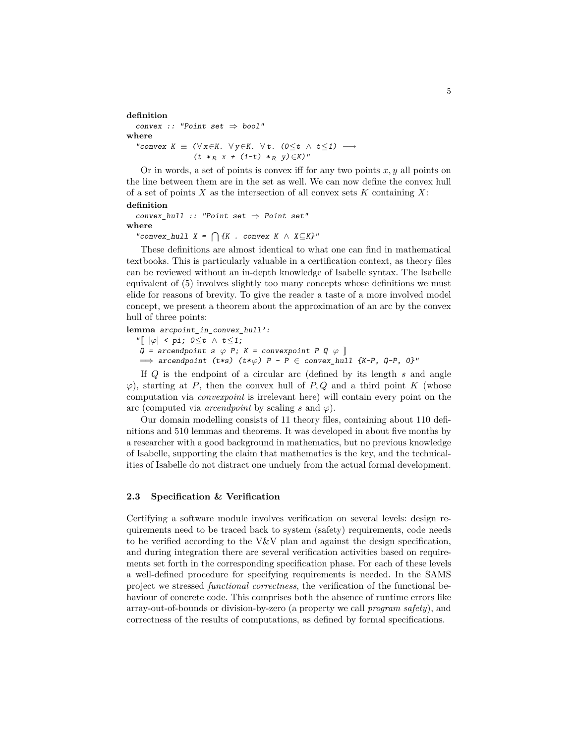#### **definition**

```
convex :: "Point set \Rightarrow bool"
where
   "convex K \equiv (\forall x \in K. \forall y \in K. \forall t. (0 \leq t \land t \leq 1) \rightarrow(t *_{R} x + (1-t) *_{R} y) \in K"
```
Or in words, a set of points is convex iff for any two points *x, y* all points on the line between them are in the set as well. We can now define the convex hull of a set of points *X* as the intersection of all convex sets *K* containing *X*: **definition**

#### convex hull :: "Point set  $\Rightarrow$  Point set" **where**

"convex\_hull  $X = \bigcap \{K \text{ . convex } K \wedge X \subseteq K\}$ "

These definitions are almost identical to what one can find in mathematical textbooks. This is particularly valuable in a certification context, as theory files can be reviewed without an in-depth knowledge of Isabelle syntax. The Isabelle equivalent of (5) involves slightly too many concepts whose definitions we must elide for reasons of brevity. To give the reader a taste of a more involved model concept, we present a theorem about the approximation of an arc by the convex hull of three points:

```
lemma arcpoint in convex hull':
```

```
''[|\varphi| < pi; 0\leq t \land t \leq 1;
Q = \text{arcendpoint } s \varphi P; K = \text{convexpoint } P Q \varphi\implies arcendpoint (t*s) (t*\varphi) P - P \in convex_hull {K-P, Q-P, 0}"
```
If *Q* is the endpoint of a circular arc (defined by its length *s* and angle  $\varphi$ ), starting at *P*, then the convex hull of *P*, *Q* and a third point *K* (whose computation via *convexpoint* is irrelevant here) will contain every point on the arc (computed via *arcendpoint* by scaling *s* and  $\varphi$ ).

Our domain modelling consists of 11 theory files, containing about 110 definitions and 510 lemmas and theorems. It was developed in about five months by a researcher with a good background in mathematics, but no previous knowledge of Isabelle, supporting the claim that mathematics is the key, and the technicalities of Isabelle do not distract one unduely from the actual formal development.

## **2.3 Specification & Verification**

Certifying a software module involves verification on several levels: design requirements need to be traced back to system (safety) requirements, code needs to be verified according to the V&V plan and against the design specification, and during integration there are several verification activities based on requirements set forth in the corresponding specification phase. For each of these levels a well-defined procedure for specifying requirements is needed. In the SAMS project we stressed *functional correctness*, the verification of the functional behaviour of concrete code. This comprises both the absence of runtime errors like array-out-of-bounds or division-by-zero (a property we call *program safety*), and correctness of the results of computations, as defined by formal specifications.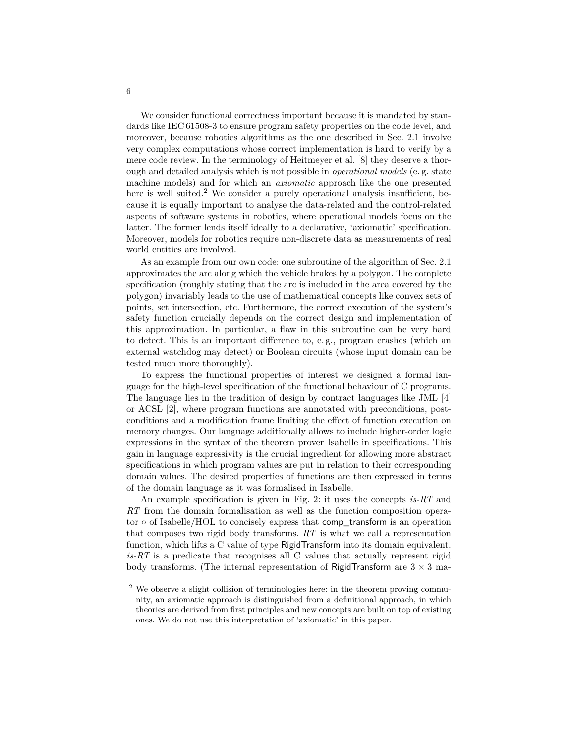We consider functional correctness important because it is mandated by standards like IEC 61508-3 to ensure program safety properties on the code level, and moreover, because robotics algorithms as the one described in Sec. 2.1 involve very complex computations whose correct implementation is hard to verify by a mere code review. In the terminology of Heitmeyer et al. [8] they deserve a thorough and detailed analysis which is not possible in *operational models* (e. g. state machine models) and for which an *axiomatic* approach like the one presented here is well suited.<sup>2</sup> We consider a purely operational analysis insufficient, because it is equally important to analyse the data-related and the control-related aspects of software systems in robotics, where operational models focus on the latter. The former lends itself ideally to a declarative, 'axiomatic' specification. Moreover, models for robotics require non-discrete data as measurements of real world entities are involved.

As an example from our own code: one subroutine of the algorithm of Sec. 2.1 approximates the arc along which the vehicle brakes by a polygon. The complete specification (roughly stating that the arc is included in the area covered by the polygon) invariably leads to the use of mathematical concepts like convex sets of points, set intersection, etc. Furthermore, the correct execution of the system's safety function crucially depends on the correct design and implementation of this approximation. In particular, a flaw in this subroutine can be very hard to detect. This is an important difference to, e. g., program crashes (which an external watchdog may detect) or Boolean circuits (whose input domain can be tested much more thoroughly).

To express the functional properties of interest we designed a formal language for the high-level specification of the functional behaviour of C programs. The language lies in the tradition of design by contract languages like JML [4] or ACSL [2], where program functions are annotated with preconditions, postconditions and a modification frame limiting the effect of function execution on memory changes. Our language additionally allows to include higher-order logic expressions in the syntax of the theorem prover Isabelle in specifications. This gain in language expressivity is the crucial ingredient for allowing more abstract specifications in which program values are put in relation to their corresponding domain values. The desired properties of functions are then expressed in terms of the domain language as it was formalised in Isabelle.

An example specification is given in Fig. 2: it uses the concepts *is-RT* and *RT* from the domain formalisation as well as the function composition operator ∘ of Isabelle/HOL to concisely express that comp\_transform is an operation that composes two rigid body transforms. *RT* is what we call a representation function, which lifts a C value of type RigidTransform into its domain equivalent. *is-RT* is a predicate that recognises all C values that actually represent rigid body transforms. (The internal representation of RigidTransform are  $3 \times 3$  ma-

<sup>&</sup>lt;sup>2</sup> We observe a slight collision of terminologies here: in the theorem proving community, an axiomatic approach is distinguished from a definitional approach, in which theories are derived from first principles and new concepts are built on top of existing ones. We do not use this interpretation of 'axiomatic' in this paper.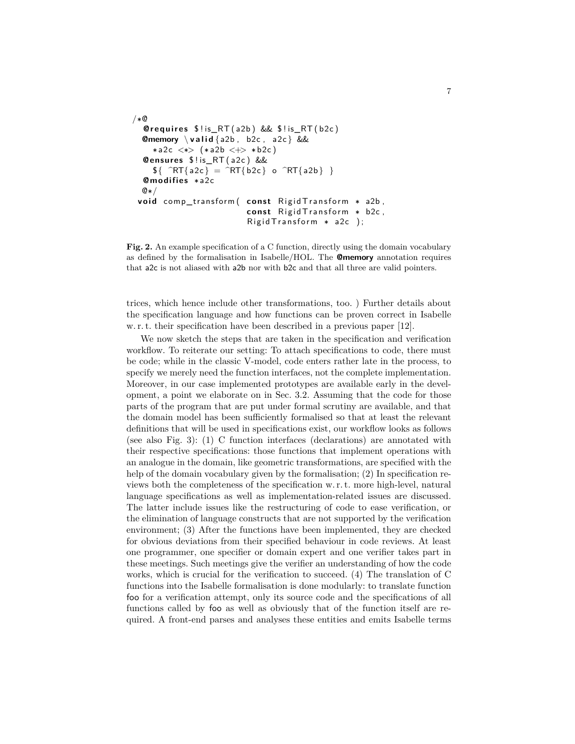```
/∗@
   @ r e q ui r e s $ ! is_RT ( a2b ) && $ ! is_RT ( b2c )
  @memory \ v a l i d {a2b , b2c , a2c } &&
     ∗ a2c <∗> (∗ a2b <+> ∗ b2c )
  @ensu res $ ! is_RT ( a2c ) &&
     \{\hat{R} \mid \hat{R} \cap \{a2c\} = \hat{R} \cdot \{b2c\} \text{ or } \hat{R} \cdot \{a2b\} \}@modi fi e s ∗ a2c
  @∗/
 void comp_transform ( const Rigid Transform * a2b,
                               const Rigid Transform * b2c,
                               RightTransform * a2c );
```

```
Fig. 2. An example specification of a C function, directly using the domain vocabulary
as defined by the formalisation in Isabelle/HOL. The @memory annotation requires
that a2c is not aliased with a2b nor with b2c and that all three are valid pointers.
```
trices, which hence include other transformations, too. ) Further details about the specification language and how functions can be proven correct in Isabelle w. r. t. their specification have been described in a previous paper [12].

We now sketch the steps that are taken in the specification and verification workflow. To reiterate our setting: To attach specifications to code, there must be code; while in the classic V-model, code enters rather late in the process, to specify we merely need the function interfaces, not the complete implementation. Moreover, in our case implemented prototypes are available early in the development, a point we elaborate on in Sec. 3.2. Assuming that the code for those parts of the program that are put under formal scrutiny are available, and that the domain model has been sufficiently formalised so that at least the relevant definitions that will be used in specifications exist, our workflow looks as follows (see also Fig. 3): (1) C function interfaces (declarations) are annotated with their respective specifications: those functions that implement operations with an analogue in the domain, like geometric transformations, are specified with the help of the domain vocabulary given by the formalisation; (2) In specification reviews both the completeness of the specification w. r. t. more high-level, natural language specifications as well as implementation-related issues are discussed. The latter include issues like the restructuring of code to ease verification, or the elimination of language constructs that are not supported by the verification environment; (3) After the functions have been implemented, they are checked for obvious deviations from their specified behaviour in code reviews. At least one programmer, one specifier or domain expert and one verifier takes part in these meetings. Such meetings give the verifier an understanding of how the code works, which is crucial for the verification to succeed. (4) The translation of C functions into the Isabelle formalisation is done modularly: to translate function foo for a verification attempt, only its source code and the specifications of all functions called by foo as well as obviously that of the function itself are required. A front-end parses and analyses these entities and emits Isabelle terms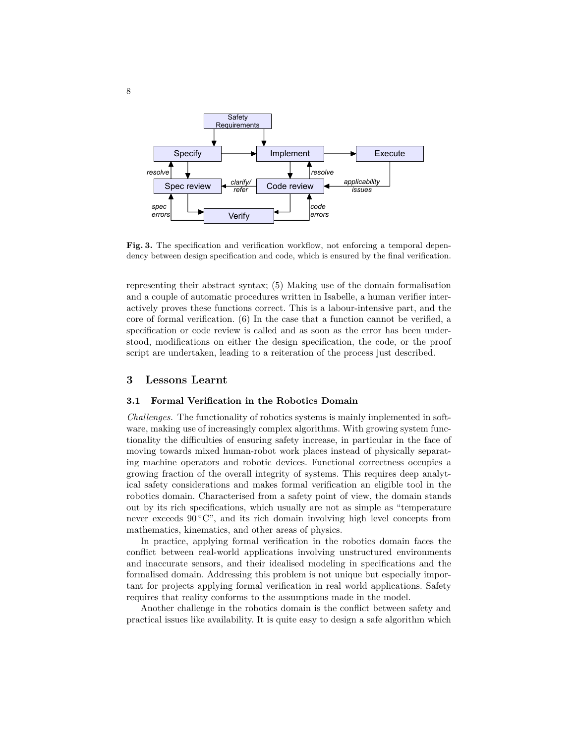

**Fig. 3.** The specification and verification workflow, not enforcing a temporal dependency between design specification and code, which is ensured by the final verification.

representing their abstract syntax; (5) Making use of the domain formalisation and a couple of automatic procedures written in Isabelle, a human verifier interactively proves these functions correct. This is a labour-intensive part, and the core of formal verification. (6) In the case that a function cannot be verified, a specification or code review is called and as soon as the error has been understood, modifications on either the design specification, the code, or the proof script are undertaken, leading to a reiteration of the process just described.

## **3 Lessons Learnt**

#### **3.1 Formal Verification in the Robotics Domain**

*Challenges.* The functionality of robotics systems is mainly implemented in software, making use of increasingly complex algorithms. With growing system functionality the difficulties of ensuring safety increase, in particular in the face of moving towards mixed human-robot work places instead of physically separating machine operators and robotic devices. Functional correctness occupies a growing fraction of the overall integrity of systems. This requires deep analytical safety considerations and makes formal verification an eligible tool in the robotics domain. Characterised from a safety point of view, the domain stands out by its rich specifications, which usually are not as simple as "temperature never exceeds  $90^{\circ}$ °C", and its rich domain involving high level concepts from mathematics, kinematics, and other areas of physics.

In practice, applying formal verification in the robotics domain faces the conflict between real-world applications involving unstructured environments and inaccurate sensors, and their idealised modeling in specifications and the formalised domain. Addressing this problem is not unique but especially important for projects applying formal verification in real world applications. Safety requires that reality conforms to the assumptions made in the model.

Another challenge in the robotics domain is the conflict between safety and practical issues like availability. It is quite easy to design a safe algorithm which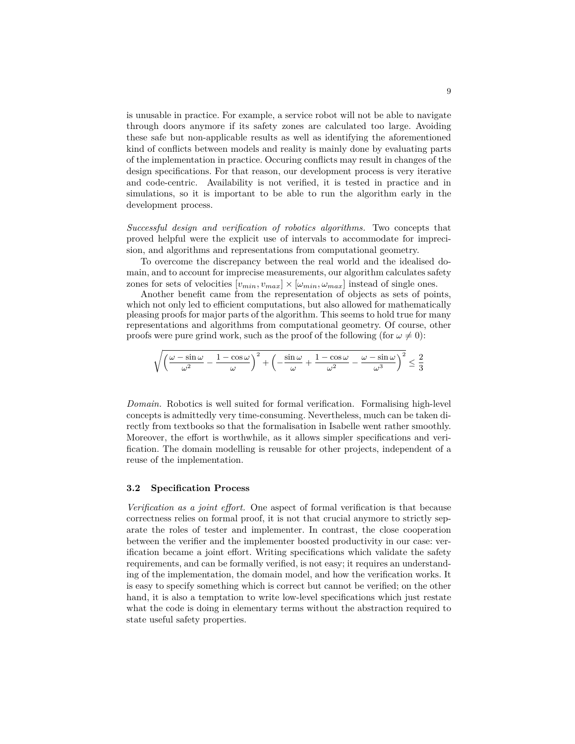is unusable in practice. For example, a service robot will not be able to navigate through doors anymore if its safety zones are calculated too large. Avoiding these safe but non-applicable results as well as identifying the aforementioned kind of conflicts between models and reality is mainly done by evaluating parts of the implementation in practice. Occuring conflicts may result in changes of the design specifications. For that reason, our development process is very iterative and code-centric. Availability is not verified, it is tested in practice and in simulations, so it is important to be able to run the algorithm early in the development process.

*Successful design and verification of robotics algorithms.* Two concepts that proved helpful were the explicit use of intervals to accommodate for imprecision, and algorithms and representations from computational geometry.

To overcome the discrepancy between the real world and the idealised domain, and to account for imprecise measurements, our algorithm calculates safety zones for sets of velocities  $[v_{min}, v_{max}] \times [\omega_{min}, \omega_{max}]$  instead of single ones.

Another benefit came from the representation of objects as sets of points, which not only led to efficient computations, but also allowed for mathematically pleasing proofs for major parts of the algorithm. This seems to hold true for many representations and algorithms from computational geometry. Of course, other proofs were pure grind work, such as the proof of the following (for  $\omega \neq 0$ ):

$$
\sqrt{\left(\frac{\omega-\sin\omega}{\omega^2}-\frac{1-\cos\omega}{\omega}\right)^2+\left(-\frac{\sin\omega}{\omega}+\frac{1-\cos\omega}{\omega^2}-\frac{\omega-\sin\omega}{\omega^3}\right)^2}\leq \frac{2}{3}
$$

*Domain.* Robotics is well suited for formal verification. Formalising high-level concepts is admittedly very time-consuming. Nevertheless, much can be taken directly from textbooks so that the formalisation in Isabelle went rather smoothly. Moreover, the effort is worthwhile, as it allows simpler specifications and verification. The domain modelling is reusable for other projects, independent of a reuse of the implementation.

#### **3.2 Specification Process**

*Verification as a joint effort.* One aspect of formal verification is that because correctness relies on formal proof, it is not that crucial anymore to strictly separate the roles of tester and implementer. In contrast, the close cooperation between the verifier and the implementer boosted productivity in our case: verification became a joint effort. Writing specifications which validate the safety requirements, and can be formally verified, is not easy; it requires an understanding of the implementation, the domain model, and how the verification works. It is easy to specify something which is correct but cannot be verified; on the other hand, it is also a temptation to write low-level specifications which just restate what the code is doing in elementary terms without the abstraction required to state useful safety properties.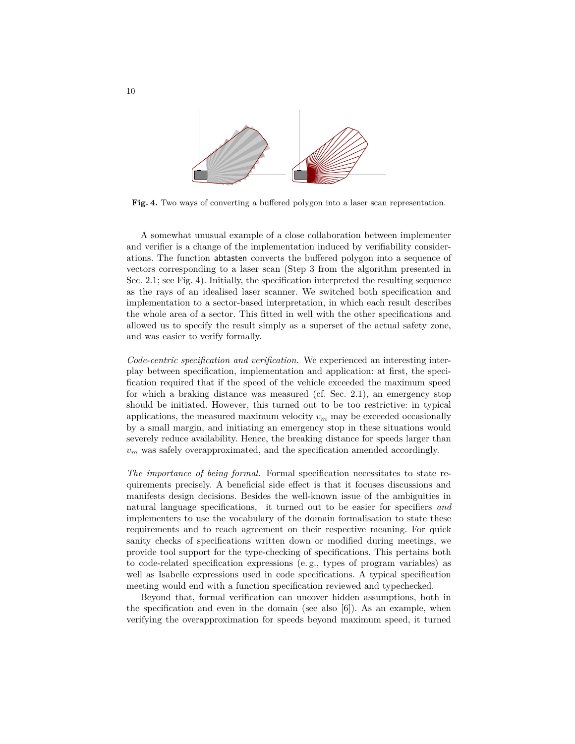

**Fig. 4.** Two ways of converting a buffered polygon into a laser scan representation.

A somewhat unusual example of a close collaboration between implementer and verifier is a change of the implementation induced by verifiability considerations. The function abtasten converts the buffered polygon into a sequence of vectors corresponding to a laser scan (Step 3 from the algorithm presented in Sec. 2.1; see Fig. 4). Initially, the specification interpreted the resulting sequence as the rays of an idealised laser scanner. We switched both specification and implementation to a sector-based interpretation, in which each result describes the whole area of a sector. This fitted in well with the other specifications and allowed us to specify the result simply as a superset of the actual safety zone, and was easier to verify formally.

*Code-centric specification and verification.* We experienced an interesting interplay between specification, implementation and application: at first, the specification required that if the speed of the vehicle exceeded the maximum speed for which a braking distance was measured (cf. Sec. 2.1), an emergency stop should be initiated. However, this turned out to be too restrictive: in typical applications, the measured maximum velocity  $v_m$  may be exceeded occasionally by a small margin, and initiating an emergency stop in these situations would severely reduce availability. Hence, the breaking distance for speeds larger than  $v_m$  was safely overapproximated, and the specification amended accordingly.

*The importance of being formal.* Formal specification necessitates to state requirements precisely. A beneficial side effect is that it focuses discussions and manifests design decisions. Besides the well-known issue of the ambiguities in natural language specifications, it turned out to be easier for specifiers *and* implementers to use the vocabulary of the domain formalisation to state these requirements and to reach agreement on their respective meaning. For quick sanity checks of specifications written down or modified during meetings, we provide tool support for the type-checking of specifications. This pertains both to code-related specification expressions (e. g., types of program variables) as well as Isabelle expressions used in code specifications. A typical specification meeting would end with a function specification reviewed and typechecked.

Beyond that, formal verification can uncover hidden assumptions, both in the specification and even in the domain (see also [6]). As an example, when verifying the overapproximation for speeds beyond maximum speed, it turned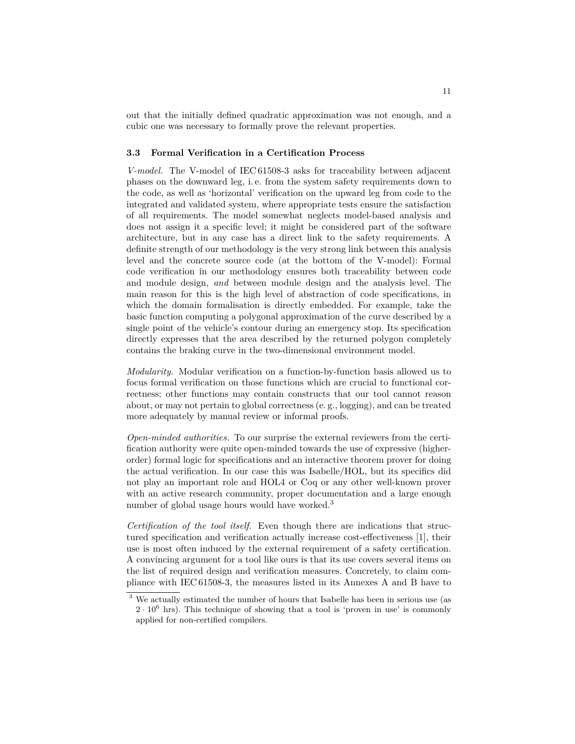out that the initially defined quadratic approximation was not enough, and a cubic one was necessary to formally prove the relevant properties.

#### **3.3 Formal Verification in a Certification Process**

*V-model.* The V-model of IEC 61508-3 asks for traceability between adjacent phases on the downward leg, i. e. from the system safety requirements down to the code, as well as 'horizontal' verification on the upward leg from code to the integrated and validated system, where appropriate tests ensure the satisfaction of all requirements. The model somewhat neglects model-based analysis and does not assign it a specific level; it might be considered part of the software architecture, but in any case has a direct link to the safety requirements. A definite strength of our methodology is the very strong link between this analysis level and the concrete source code (at the bottom of the V-model): Formal code verification in our methodology ensures both traceability between code and module design, *and* between module design and the analysis level. The main reason for this is the high level of abstraction of code specifications, in which the domain formalisation is directly embedded. For example, take the basic function computing a polygonal approximation of the curve described by a single point of the vehicle's contour during an emergency stop. Its specification directly expresses that the area described by the returned polygon completely contains the braking curve in the two-dimensional environment model.

*Modularity.* Modular verification on a function-by-function basis allowed us to focus formal verification on those functions which are crucial to functional correctness; other functions may contain constructs that our tool cannot reason about, or may not pertain to global correctness (e. g., logging), and can be treated more adequately by manual review or informal proofs.

*Open-minded authorities.* To our surprise the external reviewers from the certification authority were quite open-minded towards the use of expressive (higherorder) formal logic for specifications and an interactive theorem prover for doing the actual verification. In our case this was Isabelle/HOL, but its specifics did not play an important role and HOL4 or Coq or any other well-known prover with an active research community, proper documentation and a large enough number of global usage hours would have worked.<sup>3</sup>

*Certification of the tool itself.* Even though there are indications that structured specification and verification actually increase cost-effectiveness [1], their use is most often induced by the external requirement of a safety certification. A convincing argument for a tool like ours is that its use covers several items on the list of required design and verification measures. Concretely, to claim compliance with IEC 61508-3, the measures listed in its Annexes A and B have to

<sup>3</sup> We actually estimated the number of hours that Isabelle has been in serious use (as  $2 \cdot 10^6$  hrs). This technique of showing that a tool is 'proven in use' is commonly applied for non-certified compilers.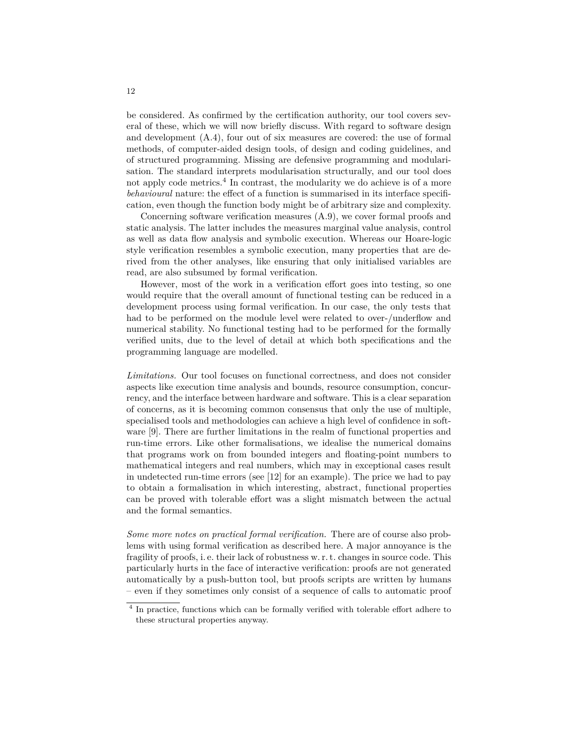be considered. As confirmed by the certification authority, our tool covers several of these, which we will now briefly discuss. With regard to software design and development (A.4), four out of six measures are covered: the use of formal methods, of computer-aided design tools, of design and coding guidelines, and of structured programming. Missing are defensive programming and modularisation. The standard interprets modularisation structurally, and our tool does not apply code metrics.<sup>4</sup> In contrast, the modularity we do achieve is of a more *behavioural* nature: the effect of a function is summarised in its interface specification, even though the function body might be of arbitrary size and complexity.

Concerning software verification measures (A.9), we cover formal proofs and static analysis. The latter includes the measures marginal value analysis, control as well as data flow analysis and symbolic execution. Whereas our Hoare-logic style verification resembles a symbolic execution, many properties that are derived from the other analyses, like ensuring that only initialised variables are read, are also subsumed by formal verification.

However, most of the work in a verification effort goes into testing, so one would require that the overall amount of functional testing can be reduced in a development process using formal verification. In our case, the only tests that had to be performed on the module level were related to over-/underflow and numerical stability. No functional testing had to be performed for the formally verified units, due to the level of detail at which both specifications and the programming language are modelled.

*Limitations.* Our tool focuses on functional correctness, and does not consider aspects like execution time analysis and bounds, resource consumption, concurrency, and the interface between hardware and software. This is a clear separation of concerns, as it is becoming common consensus that only the use of multiple, specialised tools and methodologies can achieve a high level of confidence in software [9]. There are further limitations in the realm of functional properties and run-time errors. Like other formalisations, we idealise the numerical domains that programs work on from bounded integers and floating-point numbers to mathematical integers and real numbers, which may in exceptional cases result in undetected run-time errors (see [12] for an example). The price we had to pay to obtain a formalisation in which interesting, abstract, functional properties can be proved with tolerable effort was a slight mismatch between the actual and the formal semantics.

*Some more notes on practical formal verification.* There are of course also problems with using formal verification as described here. A major annoyance is the fragility of proofs, i. e. their lack of robustness w. r. t. changes in source code. This particularly hurts in the face of interactive verification: proofs are not generated automatically by a push-button tool, but proofs scripts are written by humans – even if they sometimes only consist of a sequence of calls to automatic proof

<sup>&</sup>lt;sup>4</sup> In practice, functions which can be formally verified with tolerable effort adhere to these structural properties anyway.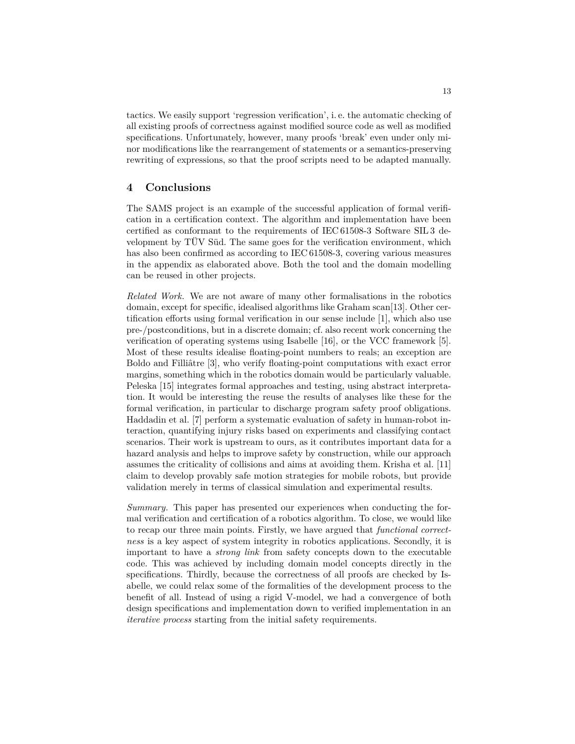tactics. We easily support 'regression verification', i. e. the automatic checking of all existing proofs of correctness against modified source code as well as modified specifications. Unfortunately, however, many proofs 'break' even under only minor modifications like the rearrangement of statements or a semantics-preserving rewriting of expressions, so that the proof scripts need to be adapted manually.

## **4 Conclusions**

The SAMS project is an example of the successful application of formal verification in a certification context. The algorithm and implementation have been certified as conformant to the requirements of IEC 61508-3 Software SIL 3 development by TÜV Süd. The same goes for the verification environment, which has also been confirmed as according to IEC 61508-3, covering various measures in the appendix as elaborated above. Both the tool and the domain modelling can be reused in other projects.

*Related Work.* We are not aware of many other formalisations in the robotics domain, except for specific, idealised algorithms like Graham scan[13]. Other certification efforts using formal verification in our sense include [1], which also use pre-/postconditions, but in a discrete domain; cf. also recent work concerning the verification of operating systems using Isabelle [16], or the VCC framework [5]. Most of these results idealise floating-point numbers to reals; an exception are Boldo and Filliâtre [3], who verify floating-point computations with exact error margins, something which in the robotics domain would be particularly valuable. Peleska [15] integrates formal approaches and testing, using abstract interpretation. It would be interesting the reuse the results of analyses like these for the formal verification, in particular to discharge program safety proof obligations. Haddadin et al. [7] perform a systematic evaluation of safety in human-robot interaction, quantifying injury risks based on experiments and classifying contact scenarios. Their work is upstream to ours, as it contributes important data for a hazard analysis and helps to improve safety by construction, while our approach assumes the criticality of collisions and aims at avoiding them. Krisha et al. [11] claim to develop provably safe motion strategies for mobile robots, but provide validation merely in terms of classical simulation and experimental results.

*Summary.* This paper has presented our experiences when conducting the formal verification and certification of a robotics algorithm. To close, we would like to recap our three main points. Firstly, we have argued that *functional correctness* is a key aspect of system integrity in robotics applications. Secondly, it is important to have a *strong link* from safety concepts down to the executable code. This was achieved by including domain model concepts directly in the specifications. Thirdly, because the correctness of all proofs are checked by Isabelle, we could relax some of the formalities of the development process to the benefit of all. Instead of using a rigid V-model, we had a convergence of both design specifications and implementation down to verified implementation in an *iterative process* starting from the initial safety requirements.